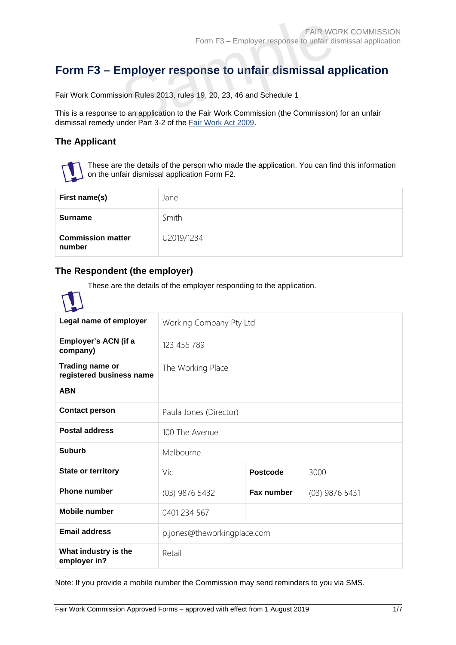### **Form F3 – Employer response to unfair dismissal application**

Fair Work Commission Rules 2013, rules 19, 20, 23, 46 and Schedule 1

This is a response to an application to the Fair Work Commission (the Commission) for an unfair dismissal remedy under Part 3-2 of the [Fair Work Act 2009.](https://www.legislation.gov.au/Series/C2009A00028) FAIR WC<br>
FAIR WC<br> **SAMPLOYER TESPONSE to unfair dismissal and Schedule 1**<br>
Sion Rules 2013, rules 19, 20, 23, 46 and Schedule 1<br>
to an application to the Fair Work Act 2009

### **The Applicant**

These are the details of the person who made the application. You can find this information on the unfair dismissal application Form F2.

| First name(s)                      | Jane       |
|------------------------------------|------------|
| <b>Surname</b>                     | Smith      |
| <b>Commission matter</b><br>number | U2019/1234 |

### **The Respondent (the employer)**

These are the details of the employer responding to the application.

| Legal name of employer                      | Working Company Pty Ltd     |                   |                |
|---------------------------------------------|-----------------------------|-------------------|----------------|
| Employer's ACN (if a<br>company)            | 123 456 789                 |                   |                |
| Trading name or<br>registered business name | The Working Place           |                   |                |
| <b>ABN</b>                                  |                             |                   |                |
| <b>Contact person</b>                       | Paula Jones (Director)      |                   |                |
| <b>Postal address</b>                       | 100 The Avenue              |                   |                |
| <b>Suburb</b>                               | Melbourne                   |                   |                |
| <b>State or territory</b>                   | Vic                         | <b>Postcode</b>   | 3000           |
| <b>Phone number</b>                         | (03) 9876 5432              | <b>Fax number</b> | (03) 9876 5431 |
| <b>Mobile number</b>                        | 0401 234 567                |                   |                |
| <b>Email address</b>                        | p.jones@theworkingplace.com |                   |                |
| What industry is the<br>employer in?        | Retail                      |                   |                |

Note: If you provide a mobile number the Commission may send reminders to you via SMS.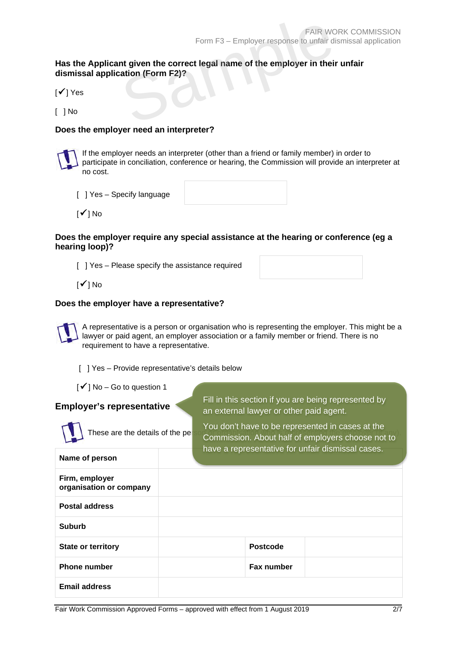# **Has the Applicant given the correct legal name of the employer in their unfair dismissal application (Form F2)?**  FAIR WC<br>
FAIR WC<br> **Sample School Schools Server Schools Schools School School School School School School School School School**<br> **Sation (Form F2)?**

 $\lceil \checkmark \rceil$  Yes

[ ] No

### **Does the employer need an interpreter?**

If the employer needs an interpreter (other than a friend or family member) in order to participate in conciliation, conference or hearing, the Commission will provide an interpreter at no cost.

[ ] Yes - Specify language

 $\lceil \checkmark \rceil$  No

### **Does the employer require any special assistance at the hearing or conference (eg a hearing loop)?**

[ ] Yes - Please specify the assistance required

 $\sqrt{1}$  No

### **Does the employer have a representative?**

A representative is a person or organisation who is representing the employer. This might be a lawyer or paid agent, an employer association or a family member or friend. There is no requirement to have a representative.

[ ] Yes - Provide representative's details below

| $\lceil \checkmark \rceil$ No – Go to question 1 |                                                                                                       |  |  |
|--------------------------------------------------|-------------------------------------------------------------------------------------------------------|--|--|
| <b>Employer's representative</b>                 | Fill in this section if you are being represented by<br>an external lawyer or other paid agent.       |  |  |
| These are the details of the pe                  | You don't have to be represented in cases at the<br>Commission. About half of employers choose not to |  |  |
| Name of person                                   | have a representative for unfair dismissal cases.                                                     |  |  |
| Firm, employer<br>organisation or company        |                                                                                                       |  |  |
| <b>Postal address</b>                            |                                                                                                       |  |  |
| <b>Suburb</b>                                    |                                                                                                       |  |  |
| <b>State or territory</b>                        | <b>Postcode</b>                                                                                       |  |  |
| <b>Phone number</b>                              | Fax number                                                                                            |  |  |
| <b>Email address</b>                             |                                                                                                       |  |  |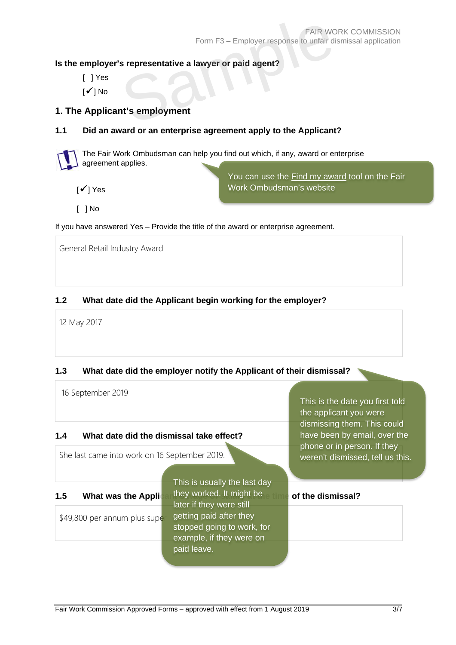### **Is the employer's representative a lawyer or paid agent?**

- [ ] Yes
- $\lceil \checkmark \rceil$  No

### **1. The Applicant's employment**

### **1.1 Did an award or an enterprise agreement apply to the Applicant?**



[The Fair Work Ombudsman](http://www.fairwork.gov.au/Pages/default.aspx) can help you find out which, if any, [award](http://www.fwc.gov.au/awards-and-agreements/awards) or [enterprise](http://www.fwc.gov.au/awards-and-agreements/agreements)  [agreement](http://www.fwc.gov.au/awards-and-agreements/agreements) applies.

 $\lceil \checkmark \rceil$  Yes

You can use the [Find my award](https://www.fairwork.gov.au/awards-and-agreements/awards/find-my-award/) tool on the Fair Work Ombudsman's website

[ ] No

If you have answered Yes – Provide the title of the award or enterprise agreement.

General Retail Industry Award

### **1.2 What date did the Applicant begin working for the employer?**

12 May 2017

### **1.3 What date did the employer notify the Applicant of their dismissal?**

16 September 2019

### **1.4 What date did the dismissal take effect?**

She last came into work on 16 September 2019.

\$49,800 per annum plus supe

**1.5 What was the Applicant they worked. It might be a line of the dismissal?** This is usually the last day they worked. It might be later if they were still getting paid after they stopped going to work, for example, if they were on paid leave.

This is the date you first told the applicant you were dismissing them. This could have been by email, over the phone or in person. If they weren't dismissed, tell us this.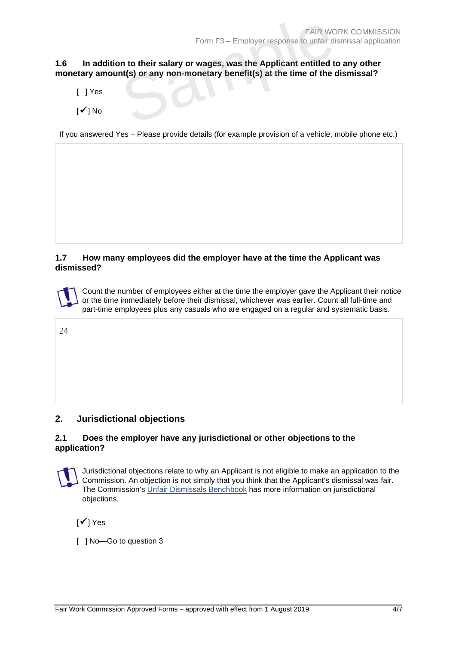# **1.6 In addition to their salary or wages, was the Applicant entitled to any other monetary amount(s) or any non-monetary benefit(s) at the time of the dismissal?** FAIR WC<br>
FAIR WC<br> **n to their salary or wages, was the Applicant entitled to the Salary or wages, was the Applicant entitled to the Salary Denefit(s) at the time of the Salary School School School School School School Scho**

- [ ] Yes
- $\lceil \checkmark \rceil$  No

If you answered Yes – Please provide details (for example provision of a vehicle, mobile phone etc.)

### **1.7 How many employees did the employer have at the time the Applicant was dismissed?**

Count the number of employees either at the time the employer gave the Applicant their notice or the time immediately before their dismissal, whichever was earlier. Count all full-time and part-time employees plus any casuals who are engaged on a regular and systematic basis.

24

### **2. Jurisdictional objections**

### **2.1 Does the employer have any jurisdictional or other objections to the application?**

Jurisdictional objections relate to why an Applicant is not eligible to make an application to the Commission. An objection is not simply that you think that the Applicant's dismissal was fair. The Commission's [Unfair Dismissals Benchbook](https://www.fwc.gov.au/resources/benchbooks/unfair-dismissals-benchbook) has more information on jurisdictional objections.

 $\sqrt{ }$  Yes

[  $|$  No-Go to question 3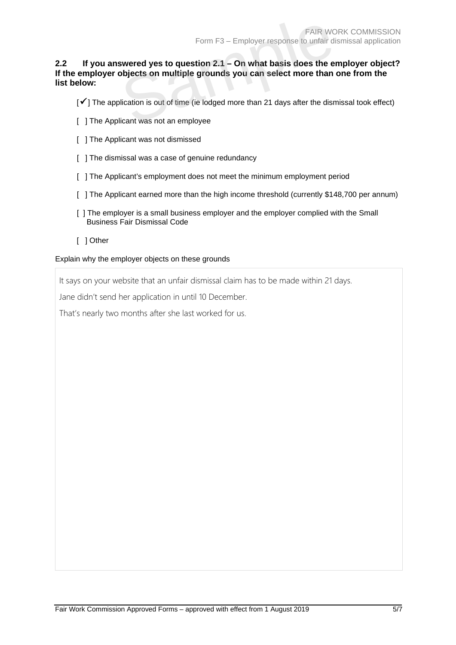### **2.2 If you answered yes to question 2.1 – On what basis does the employer object? If the employer objects on multiple grounds you can select more than one from the list below:** FAIR WC<br>
Since the United States of question 2.1 – On what basis does the explicits on multiple grounds you can select more than<br>
Dication is out of time (ie lodged more than 21 days after the districant was not an employ

 $\lceil \checkmark \rceil$  The application is out of time (ie lodged more than 21 days after the dismissal took effect)

- [ ] The Applicant was not an employee
- [ ] The Applicant was not dismissed
- [ ] The dismissal was a case of genuine redundancy
- [ ] The Applicant's employment does not meet the minimum employment period
- [ ] The Applicant earned more than the high income threshold (currently \$148,700 per annum)
- [ ] The employer is a small business employer and the employer complied with the Small Business Fair Dismissal Code
- [ ] Other

#### Explain why the employer objects on these grounds

It says on your website that an unfair dismissal claim has to be made within 21 days.

Jane didn't send her application in until 10 December.

That's nearly two months after she last worked for us.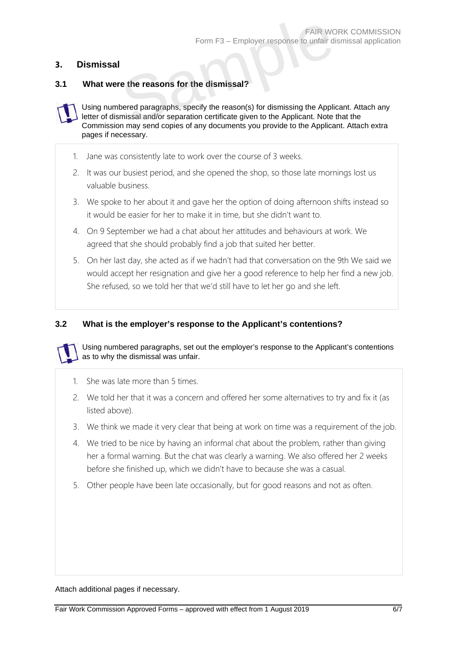### **3. Dismissal**

### **3.1 What were the reasons for the dismissal?**

Using numbered paragraphs, specify the reason(s) for dismissing the Applicant. Attach any letter of dismissal and/or separation certificate given to the Applicant. Note that the Commission may send copies of any documents you provide to the Applicant. Attach extra pages if necessary. FAIR WC<br>
FAIR WC<br>
e the reasons for the dismissal?<br>
pered paragraphs, specify the reason(s) for dismissing the Appli<br>
missal and/or separation certificate given to the Applicant. Note

- 1. Jane was consistently late to work over the course of 3 weeks.
- 2. It was our busiest period, and she opened the shop, so those late mornings lost us valuable business.
- 3. We spoke to her about it and gave her the option of doing afternoon shifts instead so it would be easier for her to make it in time, but she didn't want to.
- 4. On 9 September we had a chat about her attitudes and behaviours at work. We agreed that she should probably find a job that suited her better.
- 5. On her last day, she acted as if we hadn't had that conversation on the 9th We said we would accept her resignation and give her a good reference to help her find a new job. She refused, so we told her that we'd still have to let her go and she left.

### **3.2 What is the employer's response to the Applicant's contentions?**

Using numbered paragraphs, set out the employer's response to the Applicant's contentions as to why the dismissal was unfair.

- 1. She was late more than 5 times.
- 2. We told her that it was a concern and offered her some alternatives to try and fix it (as listed above).
- 3. We think we made it very clear that being at work on time was a requirement of the job.
- 4. We tried to be nice by having an informal chat about the problem, rather than giving her a formal warning. But the chat was clearly a warning. We also offered her 2 weeks before she finished up, which we didn't have to because she was a casual.
- 5. Other people have been late occasionally, but for good reasons and not as often.

Attach additional pages if necessary.